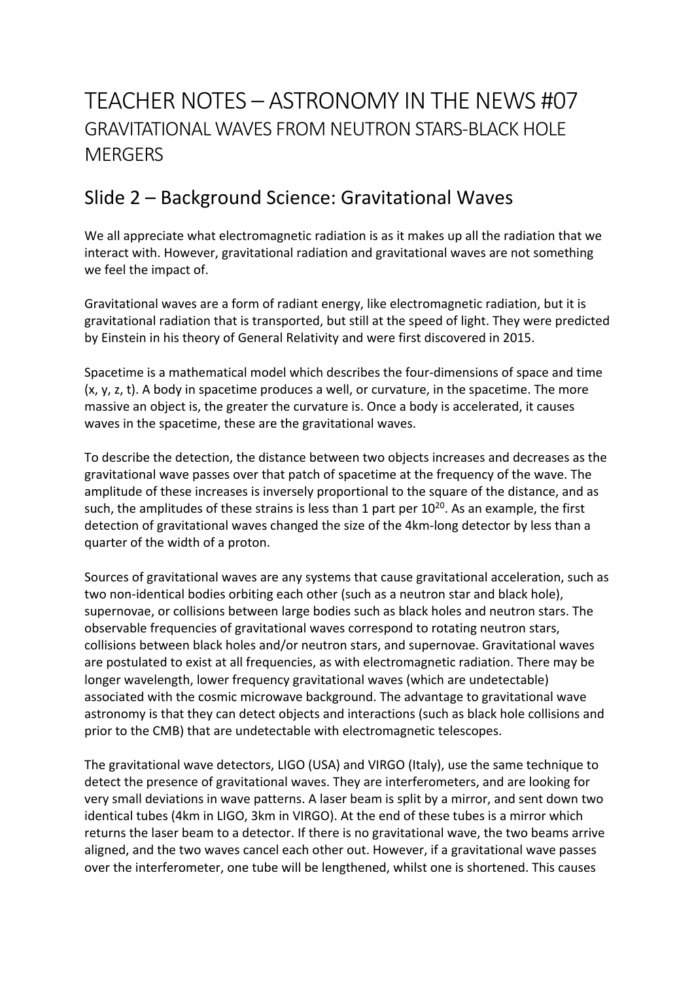## TEACHER NOTES – ASTRONOMY IN THE NEWS #07 GRAVITATIONAL WAVES FROM NEUTRON STARS-BLACK HOLE **MERGERS**

### Slide 2 – Background Science: Gravitational Waves

We all appreciate what electromagnetic radiation is as it makes up all the radiation that we interact with. However, gravitational radiation and gravitational waves are not something we feel the impact of.

Gravitational waves are a form of radiant energy, like electromagnetic radiation, but it is gravitational radiation that is transported, but still at the speed of light. They were predicted by Einstein in his theory of General Relativity and were first discovered in 2015.

Spacetime is a mathematical model which describes the four-dimensions of space and time (x, y, z, t). A body in spacetime produces a well, or curvature, in the spacetime. The more massive an object is, the greater the curvature is. Once a body is accelerated, it causes waves in the spacetime, these are the gravitational waves.

To describe the detection, the distance between two objects increases and decreases as the gravitational wave passes over that patch of spacetime at the frequency of the wave. The amplitude of these increases is inversely proportional to the square of the distance, and as such, the amplitudes of these strains is less than 1 part per  $10^{20}$ . As an example, the first detection of gravitational waves changed the size of the 4km-long detector by less than a quarter of the width of a proton.

Sources of gravitational waves are any systems that cause gravitational acceleration, such as two non-identical bodies orbiting each other (such as a neutron star and black hole), supernovae, or collisions between large bodies such as black holes and neutron stars. The observable frequencies of gravitational waves correspond to rotating neutron stars, collisions between black holes and/or neutron stars, and supernovae. Gravitational waves are postulated to exist at all frequencies, as with electromagnetic radiation. There may be longer wavelength, lower frequency gravitational waves (which are undetectable) associated with the cosmic microwave background. The advantage to gravitational wave astronomy is that they can detect objects and interactions (such as black hole collisions and prior to the CMB) that are undetectable with electromagnetic telescopes.

The gravitational wave detectors, LIGO (USA) and VIRGO (Italy), use the same technique to detect the presence of gravitational waves. They are interferometers, and are looking for very small deviations in wave patterns. A laser beam is split by a mirror, and sent down two identical tubes (4km in LIGO, 3km in VIRGO). At the end of these tubes is a mirror which returns the laser beam to a detector. If there is no gravitational wave, the two beams arrive aligned, and the two waves cancel each other out. However, if a gravitational wave passes over the interferometer, one tube will be lengthened, whilst one is shortened. This causes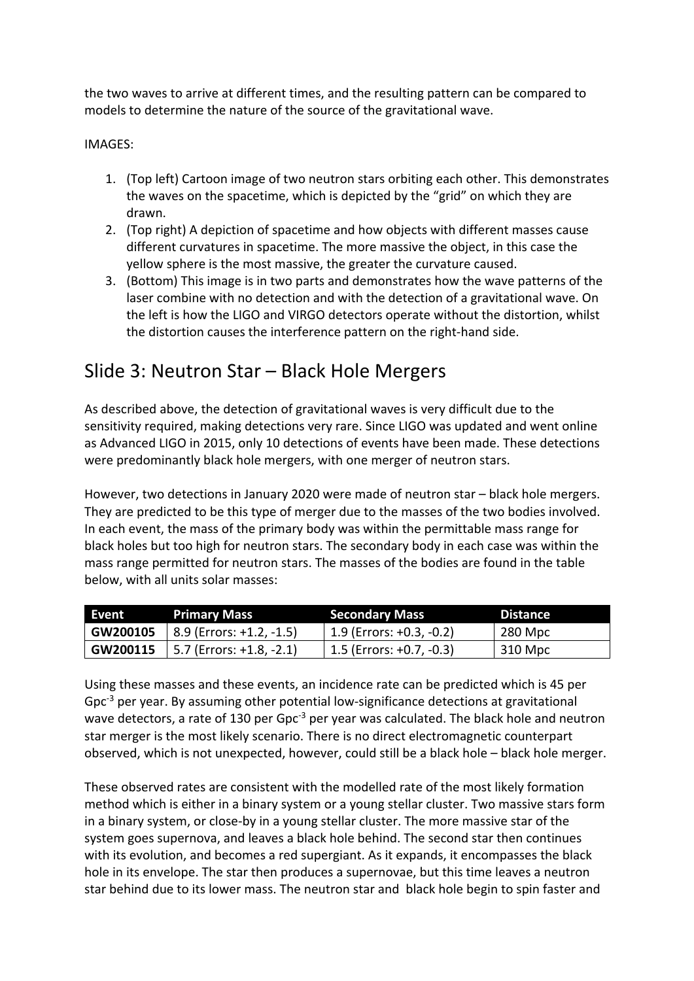the two waves to arrive at different times, and the resulting pattern can be compared to models to determine the nature of the source of the gravitational wave.

#### IMAGES:

- 1. (Top left) Cartoon image of two neutron stars orbiting each other. This demonstrates the waves on the spacetime, which is depicted by the "grid" on which they are drawn.
- 2. (Top right) A depiction of spacetime and how objects with different masses cause different curvatures in spacetime. The more massive the object, in this case the yellow sphere is the most massive, the greater the curvature caused.
- 3. (Bottom) This image is in two parts and demonstrates how the wave patterns of the laser combine with no detection and with the detection of a gravitational wave. On the left is how the LIGO and VIRGO detectors operate without the distortion, whilst the distortion causes the interference pattern on the right-hand side.

#### Slide 3: Neutron Star – Black Hole Mergers

As described above, the detection of gravitational waves is very difficult due to the sensitivity required, making detections very rare. Since LIGO was updated and went online as Advanced LIGO in 2015, only 10 detections of events have been made. These detections were predominantly black hole mergers, with one merger of neutron stars.

However, two detections in January 2020 were made of neutron star – black hole mergers. They are predicted to be this type of merger due to the masses of the two bodies involved. In each event, the mass of the primary body was within the permittable mass range for black holes but too high for neutron stars. The secondary body in each case was within the mass range permitted for neutron stars. The masses of the bodies are found in the table below, with all units solar masses:

| Event | <b>Primary Mass</b>                               | <b>Secondary Mass</b>      | <b>Distance</b> |
|-------|---------------------------------------------------|----------------------------|-----------------|
|       | $\vert$ GW200105 $\vert$ 8.9 (Errors: +1.2, -1.5) | $1.9$ (Errors: +0.3, -0.2) | 280 Mpc         |
|       | $\mid$ GW200115 $\mid$ 5.7 (Errors: +1.8, -2.1)   | $1.5$ (Errors: +0.7, -0.3) | 310 Mpc         |

Using these masses and these events, an incidence rate can be predicted which is 45 per Gpc<sup>-3</sup> per year. By assuming other potential low-significance detections at gravitational wave detectors, a rate of 130 per Gpc<sup>-3</sup> per year was calculated. The black hole and neutron star merger is the most likely scenario. There is no direct electromagnetic counterpart observed, which is not unexpected, however, could still be a black hole – black hole merger.

These observed rates are consistent with the modelled rate of the most likely formation method which is either in a binary system or a young stellar cluster. Two massive stars form in a binary system, or close-by in a young stellar cluster. The more massive star of the system goes supernova, and leaves a black hole behind. The second star then continues with its evolution, and becomes a red supergiant. As it expands, it encompasses the black hole in its envelope. The star then produces a supernovae, but this time leaves a neutron star behind due to its lower mass. The neutron star and black hole begin to spin faster and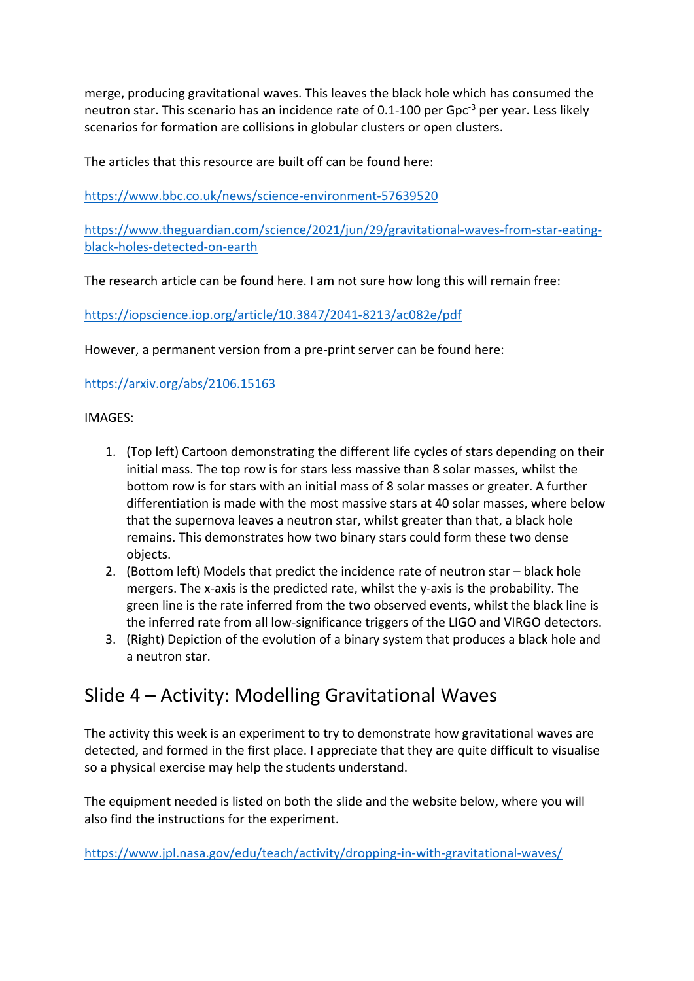merge, producing gravitational waves. This leaves the black hole which has consumed the neutron star. This scenario has an incidence rate of 0.1-100 per Gpc<sup>-3</sup> per year. Less likely scenarios for formation are collisions in globular clusters or open clusters.

The articles that this resource are built off can be found here:

https://www.bbc.co.uk/news/science-environment-57639520

https://www.theguardian.com/science/2021/jun/29/gravitational-waves-from-star-eatingblack-holes-detected-on-earth

The research article can be found here. I am not sure how long this will remain free:

https://iopscience.iop.org/article/10.3847/2041-8213/ac082e/pdf

However, a permanent version from a pre-print server can be found here:

https://arxiv.org/abs/2106.15163

IMAGES:

- 1. (Top left) Cartoon demonstrating the different life cycles of stars depending on their initial mass. The top row is for stars less massive than 8 solar masses, whilst the bottom row is for stars with an initial mass of 8 solar masses or greater. A further differentiation is made with the most massive stars at 40 solar masses, where below that the supernova leaves a neutron star, whilst greater than that, a black hole remains. This demonstrates how two binary stars could form these two dense objects.
- 2. (Bottom left) Models that predict the incidence rate of neutron star black hole mergers. The x-axis is the predicted rate, whilst the y-axis is the probability. The green line is the rate inferred from the two observed events, whilst the black line is the inferred rate from all low-significance triggers of the LIGO and VIRGO detectors.
- 3. (Right) Depiction of the evolution of a binary system that produces a black hole and a neutron star.

### Slide 4 – Activity: Modelling Gravitational Waves

The activity this week is an experiment to try to demonstrate how gravitational waves are detected, and formed in the first place. I appreciate that they are quite difficult to visualise so a physical exercise may help the students understand.

The equipment needed is listed on both the slide and the website below, where you will also find the instructions for the experiment.

https://www.jpl.nasa.gov/edu/teach/activity/dropping-in-with-gravitational-waves/